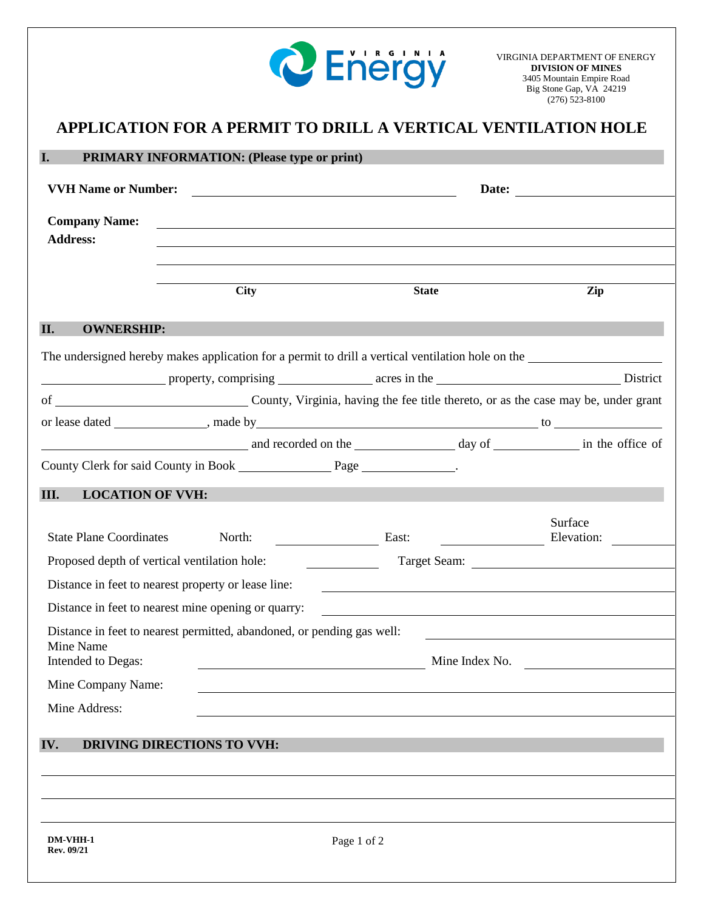

## **DM-VHH-1** Page 1 of 2 **APPLICATION FOR A PERMIT TO DRILL A VERTICAL VENTILATION HOLE I. PRIMARY INFORMATION: (Please type or print) VVH Name or Number: Date: Company Name: Address: City State Zip II. OWNERSHIP:** The undersigned hereby makes application for a permit to drill a vertical ventilation hole on the property, comprising acres in the District of County, Virginia, having the fee title thereto, or as the case may be, under grant or lease dated , made by to and recorded on the day of day of day of health in the office of County Clerk for said County in Book Page 2014. **III. LOCATION OF VVH:** State Plane Coordinates North: East: Surface Elevation: Proposed depth of vertical ventilation hole: Target Seam: Target Seam: Distance in feet to nearest property or lease line: Distance in feet to nearest mine opening or quarry: Distance in feet to nearest permitted, abandoned, or pending gas well: Mine Name Intended to Degas: Mine Index No. Mine Company Name: Mine Address: **IV. DRIVING DIRECTIONS TO VVH:**

**Rev. 09/21**